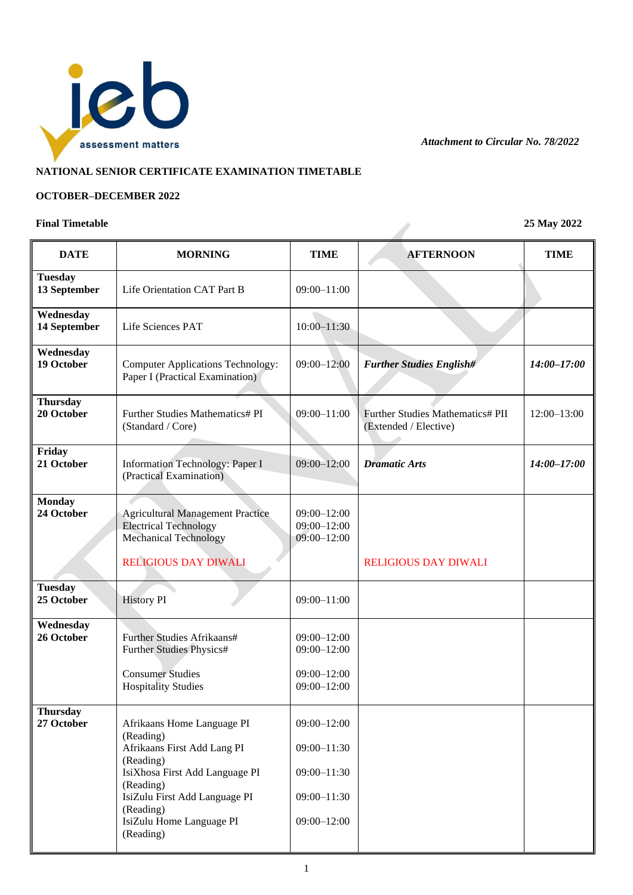

*Attachment to Circular No. 78/2022*

## **NATIONAL SENIOR CERTIFICATE EXAMINATION TIMETABLE**

## **OCTOBER–DECEMBER 2022**

## **Final Timetable 25 May 2022**

| <b>DATE</b>                    | <b>MORNING</b>                                                                                                                                                                                                            | <b>TIME</b>                                                                                 | <b>AFTERNOON</b>                                          | <b>TIME</b>     |
|--------------------------------|---------------------------------------------------------------------------------------------------------------------------------------------------------------------------------------------------------------------------|---------------------------------------------------------------------------------------------|-----------------------------------------------------------|-----------------|
| <b>Tuesday</b><br>13 September | Life Orientation CAT Part B                                                                                                                                                                                               | $09:00 - 11:00$                                                                             |                                                           |                 |
| Wednesday<br>14 September      | Life Sciences PAT                                                                                                                                                                                                         | $10:00 - 11:30$                                                                             |                                                           |                 |
| Wednesday<br>19 October        | <b>Computer Applications Technology:</b><br>Paper I (Practical Examination)                                                                                                                                               | $09:00 - 12:00$                                                                             | <b>Further Studies English#</b>                           | $14:00 - 17:00$ |
| <b>Thursday</b><br>20 October  | Further Studies Mathematics# PI<br>(Standard / Core)                                                                                                                                                                      | $09:00 - 11:00$                                                                             | Further Studies Mathematics# PII<br>(Extended / Elective) | 12:00-13:00     |
| Friday<br>21 October           | <b>Information Technology: Paper I</b><br>(Practical Examination)                                                                                                                                                         | $09:00 - 12:00$                                                                             | <b>Dramatic Arts</b>                                      | $14:00 - 17:00$ |
| <b>Monday</b><br>24 October    | <b>Agricultural Management Practice</b><br><b>Electrical Technology</b><br><b>Mechanical Technology</b>                                                                                                                   | $09:00 - 12:00$<br>$09:00 - 12:00$<br>$09:00 - 12:00$                                       |                                                           |                 |
|                                | <b>RELIGIOUS DAY DIWALI</b>                                                                                                                                                                                               |                                                                                             | <b>RELIGIOUS DAY DIWALI</b>                               |                 |
| <b>Tuesday</b><br>25 October   | <b>History PI</b>                                                                                                                                                                                                         | $09:00 - 11:00$                                                                             |                                                           |                 |
| Wednesday<br>26 October        | Further Studies Afrikaans#<br>Further Studies Physics#<br><b>Consumer Studies</b><br><b>Hospitality Studies</b>                                                                                                           | $09:00 - 12:00$<br>$09:00 - 12:00$<br>$09:00 - 12:00$<br>$09:00 - 12:00$                    |                                                           |                 |
| <b>Thursday</b><br>27 October  | Afrikaans Home Language PI<br>(Reading)<br>Afrikaans First Add Lang PI<br>(Reading)<br>IsiXhosa First Add Language PI<br>(Reading)<br>IsiZulu First Add Language PI<br>(Reading)<br>IsiZulu Home Language PI<br>(Reading) | $09:00 - 12:00$<br>$09:00 - 11:30$<br>$09:00 - 11:30$<br>$09:00 - 11:30$<br>$09:00 - 12:00$ |                                                           |                 |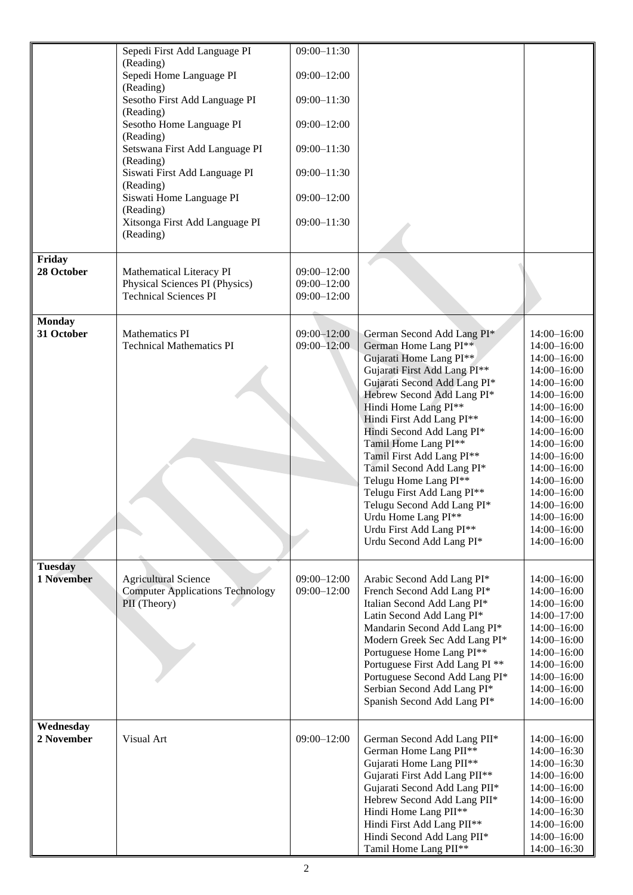|                | Sepedi First Add Language PI                | $09:00 - 11:30$ |                                                            |                                    |
|----------------|---------------------------------------------|-----------------|------------------------------------------------------------|------------------------------------|
|                | (Reading)<br>Sepedi Home Language PI        | $09:00 - 12:00$ |                                                            |                                    |
|                | (Reading)                                   |                 |                                                            |                                    |
|                | Sesotho First Add Language PI<br>(Reading)  | $09:00 - 11:30$ |                                                            |                                    |
|                | Sesotho Home Language PI<br>(Reading)       | $09:00 - 12:00$ |                                                            |                                    |
|                | Setswana First Add Language PI<br>(Reading) | $09:00 - 11:30$ |                                                            |                                    |
|                | Siswati First Add Language PI<br>(Reading)  | $09:00 - 11:30$ |                                                            |                                    |
|                | Siswati Home Language PI<br>(Reading)       | $09:00 - 12:00$ |                                                            |                                    |
|                | Xitsonga First Add Language PI<br>(Reading) | $09:00 - 11:30$ |                                                            |                                    |
| Friday         |                                             |                 |                                                            |                                    |
| 28 October     | Mathematical Literacy PI                    | $09:00 - 12:00$ |                                                            |                                    |
|                | Physical Sciences PI (Physics)              | $09:00 - 12:00$ |                                                            |                                    |
|                | <b>Technical Sciences PI</b>                | $09:00 - 12:00$ |                                                            |                                    |
| <b>Monday</b>  |                                             |                 |                                                            |                                    |
| 31 October     | <b>Mathematics PI</b>                       | $09:00 - 12:00$ | German Second Add Lang PI*                                 | 14:00-16:00                        |
|                | <b>Technical Mathematics PI</b>             | $09:00 - 12:00$ | German Home Lang PI**                                      | $14:00 - 16:00$                    |
|                |                                             |                 | Gujarati Home Lang PI**                                    | $14:00 - 16:00$                    |
|                |                                             |                 | Gujarati First Add Lang PI**                               | $14:00 - 16:00$                    |
|                |                                             |                 | Gujarati Second Add Lang PI*<br>Hebrew Second Add Lang PI* | $14:00 - 16:00$<br>14:00-16:00     |
|                |                                             |                 | Hindi Home Lang PI**                                       | 14:00-16:00                        |
|                |                                             |                 | Hindi First Add Lang PI**                                  | 14:00-16:00                        |
|                |                                             |                 | Hindi Second Add Lang PI*                                  | $14:00 - 16:00$                    |
|                |                                             |                 | Tamil Home Lang PI**                                       | $14:00 - 16:00$                    |
|                |                                             |                 | Tamil First Add Lang PI**                                  | 14:00-16:00                        |
|                |                                             |                 | Tamil Second Add Lang PI*                                  | 14:00-16:00                        |
|                |                                             |                 | Telugu Home Lang PI**                                      | 14:00-16:00                        |
|                |                                             |                 | Telugu First Add Lang PI**<br>Telugu Second Add Lang PI*   | 14:00-16:00                        |
|                |                                             |                 | Urdu Home Lang PI**                                        | 14:00-16:00<br>14:00-16:00         |
|                |                                             |                 | Urdu First Add Lang PI**                                   | $14:00 - 16:00$                    |
|                |                                             |                 | Urdu Second Add Lang PI*                                   | $14:00 - 16:00$                    |
|                |                                             |                 |                                                            |                                    |
| <b>Tuesday</b> |                                             |                 |                                                            |                                    |
| 1 November     | <b>Agricultural Science</b>                 | $09:00 - 12:00$ | Arabic Second Add Lang PI*                                 | $14:00 - 16:00$                    |
|                | <b>Computer Applications Technology</b>     | $09:00 - 12:00$ | French Second Add Lang PI*                                 | $14:00 - 16:00$                    |
|                | PII (Theory)                                |                 | Italian Second Add Lang PI*                                | $14:00 - 16:00$                    |
|                |                                             |                 | Latin Second Add Lang PI*<br>Mandarin Second Add Lang PI*  | $14:00 - 17:00$<br>$14:00 - 16:00$ |
|                |                                             |                 | Modern Greek Sec Add Lang PI*                              | $14:00 - 16:00$                    |
|                |                                             |                 | Portuguese Home Lang PI**                                  | $14:00 - 16:00$                    |
|                |                                             |                 | Portuguese First Add Lang PI <sup>**</sup>                 | $14:00 - 16:00$                    |
|                |                                             |                 | Portuguese Second Add Lang PI*                             | $14:00 - 16:00$                    |
|                |                                             |                 | Serbian Second Add Lang PI*                                | $14:00 - 16:00$                    |
|                |                                             |                 | Spanish Second Add Lang PI*                                | $14:00 - 16:00$                    |
| Wednesday      |                                             |                 |                                                            |                                    |
| 2 November     | Visual Art                                  | $09:00 - 12:00$ | German Second Add Lang PII*                                | $14:00 - 16:00$                    |
|                |                                             |                 | German Home Lang PII**                                     | $14:00 - 16:30$                    |
|                |                                             |                 | Gujarati Home Lang PII**                                   | $14:00 - 16:30$                    |
|                |                                             |                 | Gujarati First Add Lang PII**                              | $14:00 - 16:00$                    |
|                |                                             |                 | Gujarati Second Add Lang PII*                              | $14:00 - 16:00$                    |
|                |                                             |                 | Hebrew Second Add Lang PII*                                | $14:00 - 16:00$                    |
|                |                                             |                 | Hindi Home Lang PII**                                      | $14:00 - 16:30$                    |
|                |                                             |                 | Hindi First Add Lang PII**<br>Hindi Second Add Lang PII*   | $14:00 - 16:00$<br>$14:00 - 16:00$ |
|                |                                             |                 | Tamil Home Lang PII**                                      | 14:00-16:30                        |
|                |                                             |                 |                                                            |                                    |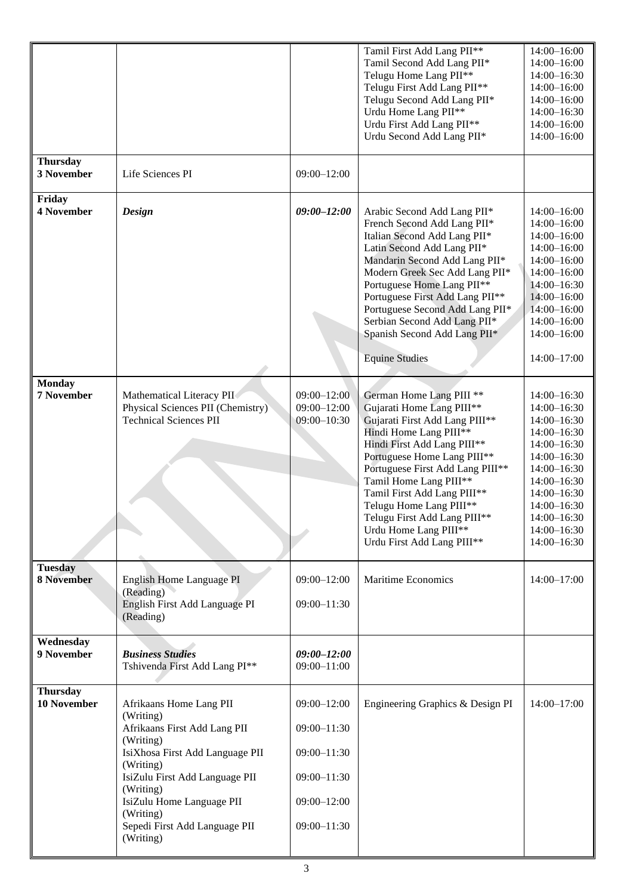|                                       |                                                                                                                                                                                                                                                                          |                                                                                                                | Tamil First Add Lang PII**<br>Tamil Second Add Lang PII*<br>Telugu Home Lang PII**<br>Telugu First Add Lang PII**<br>Telugu Second Add Lang PII*<br>Urdu Home Lang PII**<br>Urdu First Add Lang PII**<br>Urdu Second Add Lang PII*                                                                                                                                                             | 14:00-16:00<br>14:00-16:00<br>14:00-16:30<br>$14:00 - 16:00$<br>$14:00 - 16:00$<br>$14:00 - 16:30$<br>$14:00 - 16:00$<br>14:00-16:00                                                                                        |
|---------------------------------------|--------------------------------------------------------------------------------------------------------------------------------------------------------------------------------------------------------------------------------------------------------------------------|----------------------------------------------------------------------------------------------------------------|------------------------------------------------------------------------------------------------------------------------------------------------------------------------------------------------------------------------------------------------------------------------------------------------------------------------------------------------------------------------------------------------|-----------------------------------------------------------------------------------------------------------------------------------------------------------------------------------------------------------------------------|
| <b>Thursday</b><br>3 November         | Life Sciences PI                                                                                                                                                                                                                                                         | $09:00 - 12:00$                                                                                                |                                                                                                                                                                                                                                                                                                                                                                                                |                                                                                                                                                                                                                             |
| Friday<br><b>4 November</b>           | Design                                                                                                                                                                                                                                                                   | $09:00 - 12:00$                                                                                                | Arabic Second Add Lang PII*<br>French Second Add Lang PII*<br>Italian Second Add Lang PII*<br>Latin Second Add Lang PII*<br>Mandarin Second Add Lang PII*<br>Modern Greek Sec Add Lang PII*<br>Portuguese Home Lang PII**<br>Portuguese First Add Lang PII**<br>Portuguese Second Add Lang PII*<br>Serbian Second Add Lang PII*<br>Spanish Second Add Lang PII*<br><b>Equine Studies</b>       | $14:00 - 16:00$<br>$14:00 - 16:00$<br>$14:00 - 16:00$<br>$14:00 - 16:00$<br>$14:00 - 16:00$<br>$14:00 - 16:00$<br>14:00-16:30<br>$14:00 - 16:00$<br>$14:00 - 16:00$<br>14:00-16:00<br>$14:00 - 16:00$<br>$14:00 - 17:00$    |
| <b>Monday</b><br>7 November           | Mathematical Literacy PII<br>Physical Sciences PII (Chemistry)<br><b>Technical Sciences PII</b>                                                                                                                                                                          | $09:00 - 12:00$<br>$09:00 - 12:00$<br>$09:00 - 10:30$                                                          | German Home Lang PIII **<br>Gujarati Home Lang PIII**<br>Gujarati First Add Lang PIII**<br>Hindi Home Lang PIII**<br>Hindi First Add Lang PIII**<br>Portuguese Home Lang PIII**<br>Portuguese First Add Lang PIII**<br>Tamil Home Lang PIII**<br>Tamil First Add Lang PIII**<br>Telugu Home Lang PIII**<br>Telugu First Add Lang PIII**<br>Urdu Home Lang PIII**<br>Urdu First Add Lang PIII** | $14:00 - 16:30$<br>$14:00 - 16:30$<br>14:00-16:30<br>$14:00 - 16:30$<br>14:00-16:30<br>$14:00 - 16:30$<br>$14:00 - 16:30$<br>$14:00 - 16:30$<br>14:00-16:30<br>$14:00 - 16:30$<br>14:00-16:30<br>14:00-16:30<br>14:00-16:30 |
| <b>Tuesday</b><br><b>8 November</b>   | English Home Language PI<br>(Reading)<br>English First Add Language PI<br>(Reading)                                                                                                                                                                                      | $09:00 - 12:00$<br>$09:00 - 11:30$                                                                             | <b>Maritime Economics</b>                                                                                                                                                                                                                                                                                                                                                                      | $14:00 - 17:00$                                                                                                                                                                                                             |
| Wednesday<br>9 November               | <b>Business Studies</b><br>Tshivenda First Add Lang PI**                                                                                                                                                                                                                 | $09:00 - 12:00$<br>$09:00 - 11:00$                                                                             |                                                                                                                                                                                                                                                                                                                                                                                                |                                                                                                                                                                                                                             |
| <b>Thursday</b><br><b>10 November</b> | Afrikaans Home Lang PII<br>(Writing)<br>Afrikaans First Add Lang PII<br>(Writing)<br>IsiXhosa First Add Language PII<br>(Writing)<br>IsiZulu First Add Language PII<br>(Writing)<br>IsiZulu Home Language PII<br>(Writing)<br>Sepedi First Add Language PII<br>(Writing) | $09:00 - 12:00$<br>$09:00 - 11:30$<br>$09:00 - 11:30$<br>$09:00 - 11:30$<br>$09:00 - 12:00$<br>$09:00 - 11:30$ | Engineering Graphics & Design PI                                                                                                                                                                                                                                                                                                                                                               | 14:00-17:00                                                                                                                                                                                                                 |